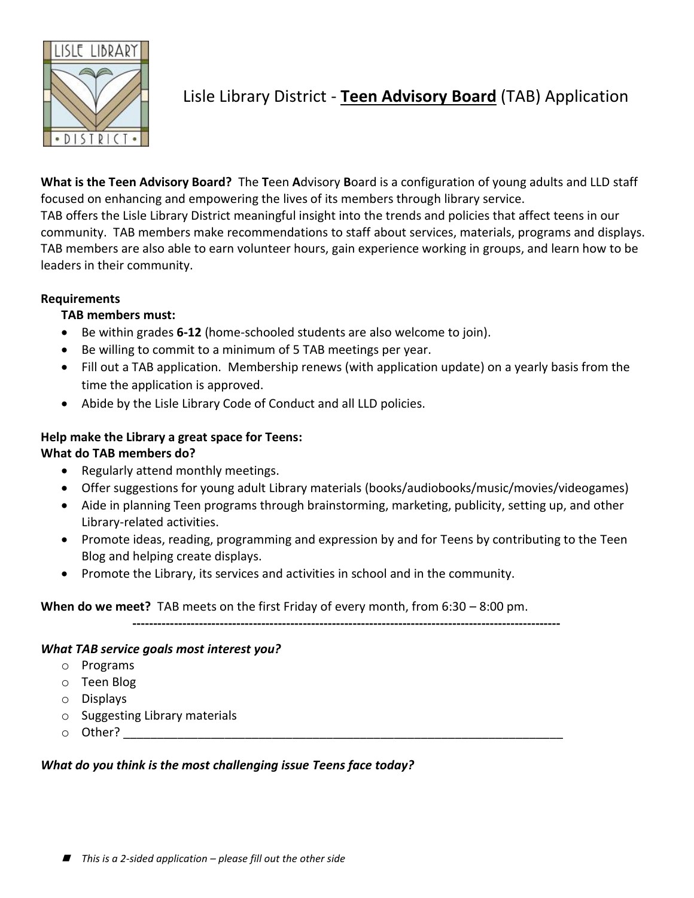

Lisle Library District - **Teen Advisory Board** (TAB) Application

**What is the Teen Advisory Board?** The **T**een **A**dvisory **B**oard is a configuration of young adults and LLD staff focused on enhancing and empowering the lives of its members through library service.

TAB offers the Lisle Library District meaningful insight into the trends and policies that affect teens in our community. TAB members make recommendations to staff about services, materials, programs and displays. TAB members are also able to earn volunteer hours, gain experience working in groups, and learn how to be leaders in their community.

### **Requirements**

### **TAB members must:**

- Be within grades **6-12** (home-schooled students are also welcome to join).
- Be willing to commit to a minimum of 5 TAB meetings per year.
- Fill out a TAB application. Membership renews (with application update) on a yearly basis from the time the application is approved.
- Abide by the Lisle Library Code of Conduct and all LLD policies.

# **Help make the Library a great space for Teens:**

## **What do TAB members do?**

- Regularly attend monthly meetings.
- Offer suggestions for young adult Library materials (books/audiobooks/music/movies/videogames)
- Aide in planning Teen programs through brainstorming, marketing, publicity, setting up, and other Library-related activities.
- Promote ideas, reading, programming and expression by and for Teens by contributing to the Teen Blog and helping create displays.
- Promote the Library, its services and activities in school and in the community.

### **When do we meet?** TAB meets on the first Friday of every month, from 6:30 – 8:00 pm.

**-------------------------------------------------------------------------------------------------------**

### *What TAB service goals most interest you?*

- o Programs
- o Teen Blog
- o Displays
- o Suggesting Library materials
- $\circ$  Other?  $\circ$  . The set of  $\circ$  and  $\circ$  and  $\circ$  and  $\circ$  and  $\circ$  and  $\circ$  and  $\circ$  and  $\circ$  and  $\circ$  and  $\circ$  and  $\circ$  and  $\circ$  and  $\circ$  and  $\circ$  and  $\circ$  and  $\circ$  and  $\circ$  and  $\circ$  and  $\circ$  and  $\circ$  and  $\circ$  and  $\$

### *What do you think is the most challenging issue Teens face today?*